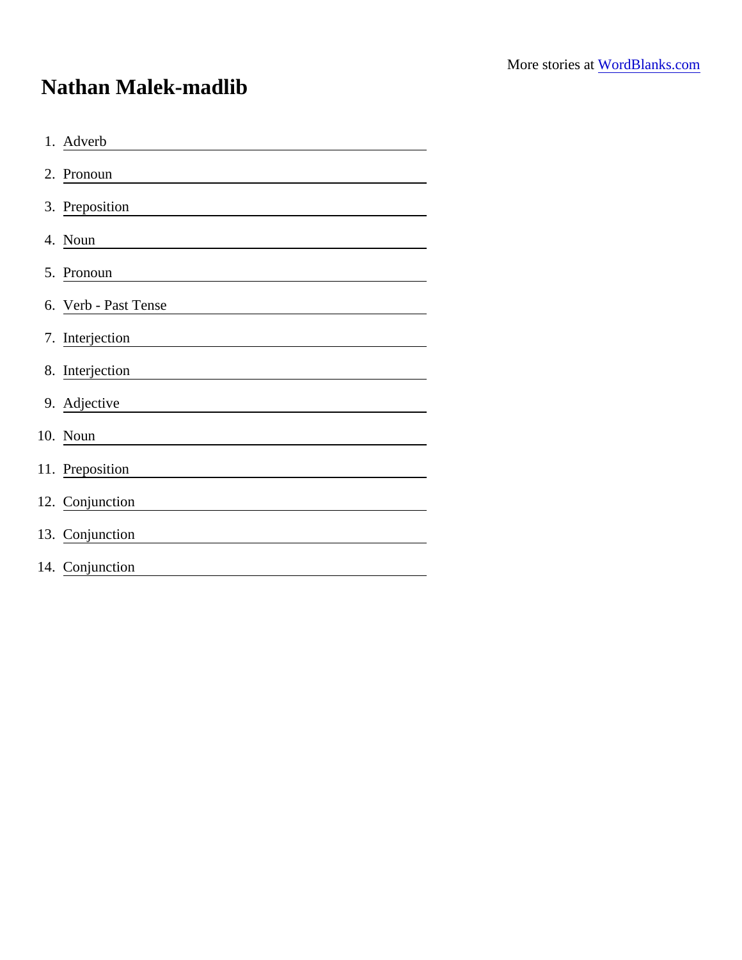## Nathan Malek-madlib

| 1. Adverb            |
|----------------------|
| 2. Pronoun           |
| 3. Preposition       |
| 4. Noun              |
| 5. Pronoun           |
| 6. Verb - Past Tense |
| 7. Interjection      |
| 8. Interjection      |
| 9. Adjective         |
| 10. Noun             |
| 11. Preposition      |
| 12. Conjunction      |
| 13. Conjunction      |
| 14. Conjunction      |